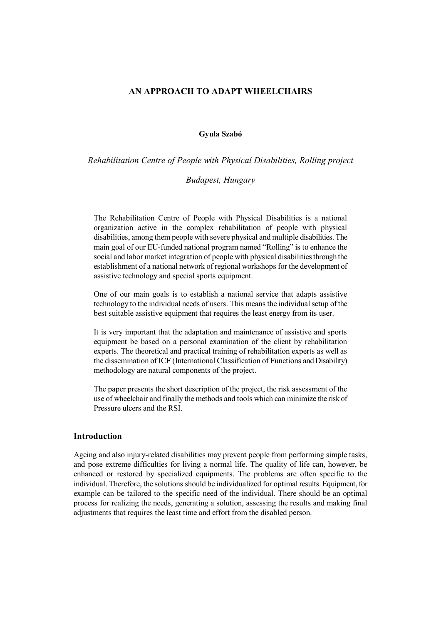## **AN APPROACH TO ADAPT WHEELCHAIRS**

### **Gyula Szabó**

*Rehabilitation Centre of People with Physical Disabilities, Rolling project*

### *Budapest, Hungary*

The Rehabilitation Centre of People with Physical Disabilities is a national organization active in the complex rehabilitation of people with physical disabilities, among them people with severe physical and multiple disabilities. The main goal of our EU-funded national program named "Rolling" is to enhance the social and labor market integration of people with physical disabilities through the establishment of a national network of regional workshops for the development of assistive technology and special sports equipment.

One of our main goals is to establish a national service that adapts assistive technology to the individual needs of users. This means the individual setup of the best suitable assistive equipment that requires the least energy from its user.

It is very important that the adaptation and maintenance of assistive and sports equipment be based on a personal examination of the client by rehabilitation experts. The theoretical and practical training of rehabilitation experts as well as the dissemination of ICF (International Classification of Functions and Disability) methodology are natural components of the project.

The paper presents the short description of the project, the risk assessment of the use of wheelchair and finally the methods and tools which can minimize the risk of Pressure ulcers and the RSI.

# **Introduction**

Ageing and also injury-related disabilities may prevent people from performing simple tasks, and pose extreme difficulties for living a normal life. The quality of life can, however, be enhanced or restored by specialized equipments. The problems are often specific to the individual. Therefore, the solutions should be individualized for optimal results. Equipment, for example can be tailored to the specific need of the individual. There should be an optimal process for realizing the needs, generating a solution, assessing the results and making final adjustments that requires the least time and effort from the disabled person.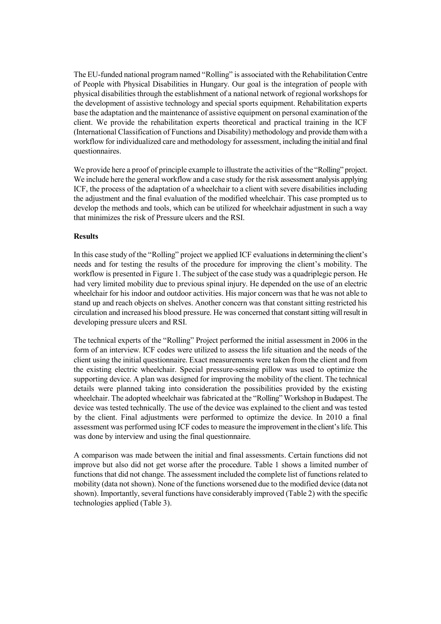The EU-funded national program named "Rolling" is associated with the Rehabilitation Centre of People with Physical Disabilities in Hungary. Our goal is the integration of people with physical disabilities through the establishment of a national network of regional workshops for the development of assistive technology and special sports equipment. Rehabilitation experts base the adaptation and the maintenance of assistive equipment on personal examination of the client. We provide the rehabilitation experts theoretical and practical training in the ICF (International Classification of Functions and Disability) methodology and provide them with a workflow for individualized care and methodology for assessment, including the initial and final questionnaires.

We provide here a proof of principle example to illustrate the activities of the "Rolling" project. We include here the general workflow and a case study for the risk assessment analysis applying ICF, the process of the adaptation of a wheelchair to a client with severe disabilities including the adjustment and the final evaluation of the modified wheelchair. This case prompted us to develop the methods and tools, which can be utilized for wheelchair adjustment in such a way that minimizes the risk of Pressure ulcers and the RSI.

## **Results**

In this case study of the "Rolling" project we applied ICF evaluations in determining the client's needs and for testing the results of the procedure for improving the client's mobility. The workflow is presented in Figure 1. The subject of the case study was a quadriplegic person. He had very limited mobility due to previous spinal injury. He depended on the use of an electric wheelchair for his indoor and outdoor activities. His major concern was that he was not able to stand up and reach objects on shelves. Another concern was that constant sitting restricted his circulation and increased his blood pressure. He was concerned that constant sitting will result in developing pressure ulcers and RSI.

The technical experts of the "Rolling" Project performed the initial assessment in 2006 in the form of an interview. ICF codes were utilized to assess the life situation and the needs of the client using the initial questionnaire. Exact measurements were taken from the client and from the existing electric wheelchair. Special pressure-sensing pillow was used to optimize the supporting device. A plan was designed for improving the mobility of the client. The technical details were planned taking into consideration the possibilities provided by the existing wheelchair. The adopted wheelchair was fabricated at the "Rolling" Workshop in Budapest. The device was tested technically. The use of the device was explained to the client and was tested by the client. Final adjustments were performed to optimize the device. In 2010 a final assessment was performed using ICF codes to measure the improvement in the client's life. This was done by interview and using the final questionnaire.

A comparison was made between the initial and final assessments. Certain functions did not improve but also did not get worse after the procedure. Table 1 shows a limited number of functions that did not change. The assessment included the complete list of functions related to mobility (data not shown). None of the functions worsened due to the modified device (data not shown). Importantly, several functions have considerably improved (Table 2) with the specific technologies applied (Table 3).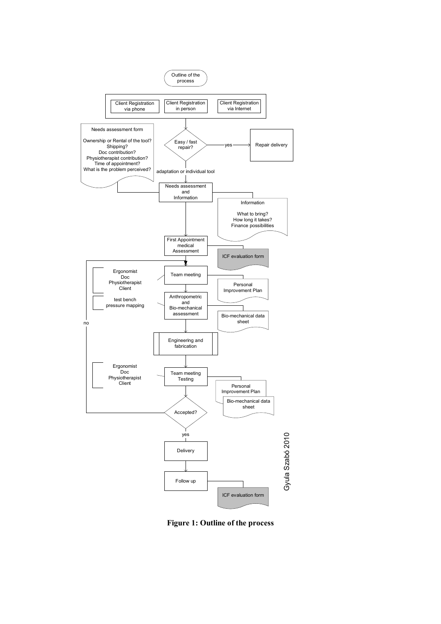

**Figure 1: Outline of the process**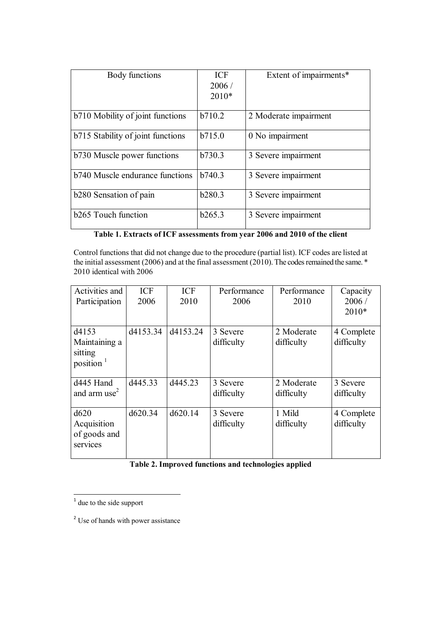| Body functions                    | <b>ICF</b> | Extent of impairments* |
|-----------------------------------|------------|------------------------|
|                                   | 2006/      |                        |
|                                   | $2010*$    |                        |
|                                   |            |                        |
| b710 Mobility of joint functions  | b710.2     | 2 Moderate impairment  |
| b715 Stability of joint functions | b715.0     | 0 No impairment        |
| b730 Muscle power functions       | b730.3     | 3 Severe impairment    |
| b740 Muscle endurance functions   | b740.3     | 3 Severe impairment    |
| b280 Sensation of pain            | b280.3     | 3 Severe impairment    |
| <b>b265</b> Touch function        | b265.3     | 3 Severe impairment    |

**Table 1. Extracts of ICF assessments from year 2006 and 2010 of the client**

Control functions that did not change due to the procedure (partial list). ICF codes are listed at the initial assessment (2006) and at the final assessment (2010). The codes remained the same.  $*$ 2010 identical with 2006

| Activities and           | ICF      | <b>ICF</b> | Performance | Performance | Capacity   |
|--------------------------|----------|------------|-------------|-------------|------------|
| Participation            | 2006     | 2010       | 2006        | 2010        | 2006/      |
|                          |          |            |             |             | $2010*$    |
| d4153                    | d4153.34 | d4153.24   | 3 Severe    | 2 Moderate  | 4 Complete |
| Maintaining a            |          |            | difficulty  | difficulty  | difficulty |
| sitting                  |          |            |             |             |            |
| position $1$             |          |            |             |             |            |
| d445 Hand                | d445.33  | d445.23    | 3 Severe    | 2 Moderate  | 3 Severe   |
| and arm use <sup>2</sup> |          |            | difficulty  | difficulty  | difficulty |
|                          |          |            |             |             |            |
| d620                     | d620.34  | d620.14    | 3 Severe    | 1 Mild      | 4 Complete |
| Acquisition              |          |            | difficulty  | difficulty  | difficulty |
| of goods and             |          |            |             |             |            |
| services                 |          |            |             |             |            |
|                          |          |            |             |             |            |

| Table 2. Improved functions and technologies applied |  |
|------------------------------------------------------|--|
|------------------------------------------------------|--|

 $\frac{1}{1}$  due to the side support

<sup>&</sup>lt;sup>2</sup> Use of hands with power assistance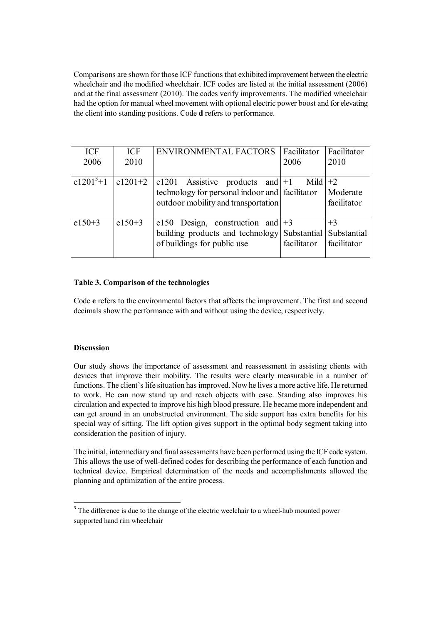Comparisons are shown for those ICF functions that exhibited improvement between the electric wheelchair and the modified wheelchair. ICF codes are listed at the initial assessment (2006) and at the final assessment (2010). The codes verify improvements. The modified wheelchair had the option for manual wheel movement with optional electric power boost and for elevating the client into standing positions. Code **d** refers to performance.

| <b>ICF</b><br>2006 | <b>ICF</b><br>2010 | <b>ENVIRONMENTAL FACTORS</b>                                                                                                    | Facilitator<br>2006 | Facilitator<br>2010                |
|--------------------|--------------------|---------------------------------------------------------------------------------------------------------------------------------|---------------------|------------------------------------|
| $e1201^{3}+1$      | $e1201+2$          | $ e1201$ Assistive products and $ +1 $<br>technology for personal indoor and facilitator<br>outdoor mobility and transportation | Mild $+2$           | Moderate<br>facilitator            |
| $e150+3$           | $e150+3$           | e150 Design, construction and $+3$<br>building products and technology Substantial<br>of buildings for public use               | facilitator         | $+3$<br>Substantial<br>facilitator |

# **Table 3. Comparison of the technologies**

Code **e** refers to the environmental factors that affects the improvement. The first and second decimals show the performance with and without using the device, respectively.

## **Discussion**

1

Our study shows the importance of assessment and reassessment in assisting clients with devices that improve their mobility. The results were clearly measurable in a number of functions. The client's life situation has improved. Now he lives a more active life. He returned to work. He can now stand up and reach objects with ease. Standing also improves his circulation and expected to improve his high blood pressure. He became more independent and can get around in an unobstructed environment. The side support has extra benefits for his special way of sitting. The lift option gives support in the optimal body segment taking into consideration the position of injury.

The initial, intermediary and final assessments have been performed using the ICF code system. This allows the use of well-defined codes for describing the performance of each function and technical device. Empirical determination of the needs and accomplishments allowed the planning and optimization of the entire process.

<sup>&</sup>lt;sup>3</sup> The difference is due to the change of the electric weelchair to a wheel-hub mounted power supported hand rim wheelchair